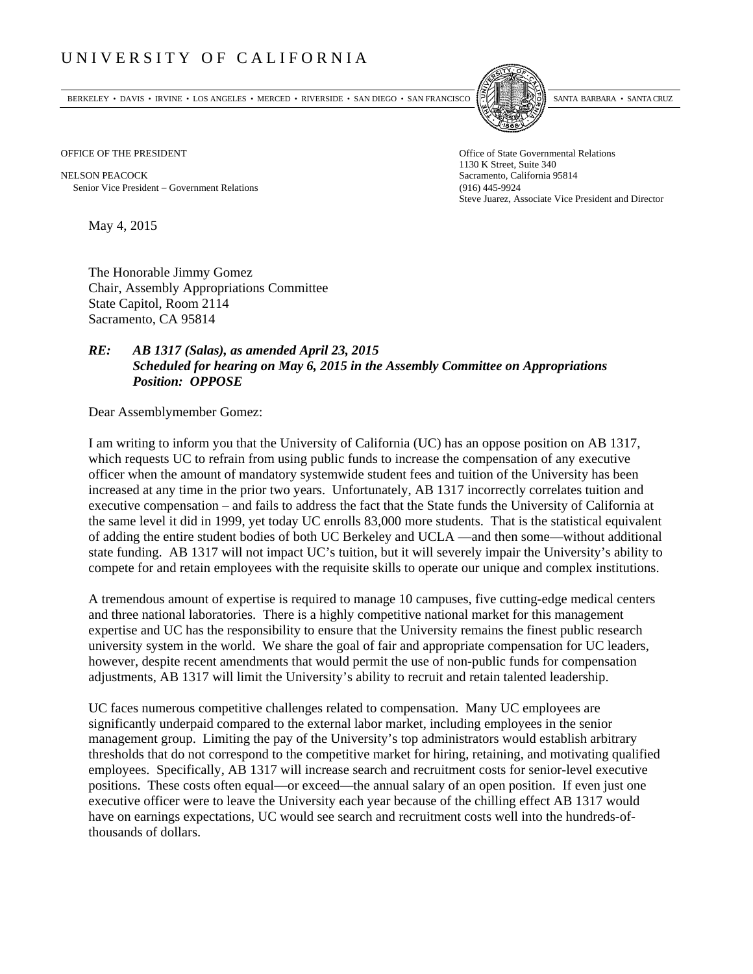## UNIVERSITY OF CALIFORNIA

BERKELEY • DAVIS • IRVINE • LOS ANGELES • MERCED • RIVERSIDE • SAN DIEGO • SAN FRANCISCO SANTA BARBARA • SANTA CRUZ



1130 K Street, Suite 340 Steve Juarez, Associate Vice President and Director

OFFICE OF THE PRESIDENT STATES OF THE PRESIDENT

NELSON PEACOCK Sacramento, California 95814 Senior Vice President Government Relations (916) 445-9924

May 4, 2015

The Honorable Jimmy Gomez Chair, Assembly Appropriations Committee State Capitol, Room 2114 Sacramento, CA 95814

## *RE: AB 1317 (Salas), as amended April 23, 2015 Scheduled for hearing on May 6, 2015 in the Assembly Committee on Appropriations Position: OPPOSE*

Dear Assemblymember Gomez:

I am writing to inform you that the University of California (UC) has an oppose position on AB 1317, which requests UC to refrain from using public funds to increase the compensation of any executive officer when the amount of mandatory systemwide student fees and tuition of the University has been increased at any time in the prior two years. Unfortunately, AB 1317 incorrectly correlates tuition and executive compensation – and fails to address the fact that the State funds the University of California at the same level it did in 1999, yet today UC enrolls 83,000 more students. That is the statistical equivalent of adding the entire student bodies of both UC Berkeley and UCLA —and then some—without additional state funding. AB 1317 will not impact UC's tuition, but it will severely impair the University's ability to compete for and retain employees with the requisite skills to operate our unique and complex institutions.

A tremendous amount of expertise is required to manage 10 campuses, five cutting-edge medical centers and three national laboratories. There is a highly competitive national market for this management expertise and UC has the responsibility to ensure that the University remains the finest public research university system in the world. We share the goal of fair and appropriate compensation for UC leaders, however, despite recent amendments that would permit the use of non-public funds for compensation adjustments, AB 1317 will limit the University's ability to recruit and retain talented leadership.

UC faces numerous competitive challenges related to compensation. Many UC employees are significantly underpaid compared to the external labor market, including employees in the senior management group. Limiting the pay of the University's top administrators would establish arbitrary thresholds that do not correspond to the competitive market for hiring, retaining, and motivating qualified employees. Specifically, AB 1317 will increase search and recruitment costs for senior-level executive positions. These costs often equal—or exceed—the annual salary of an open position. If even just one executive officer were to leave the University each year because of the chilling effect AB 1317 would have on earnings expectations, UC would see search and recruitment costs well into the hundreds-ofthousands of dollars.